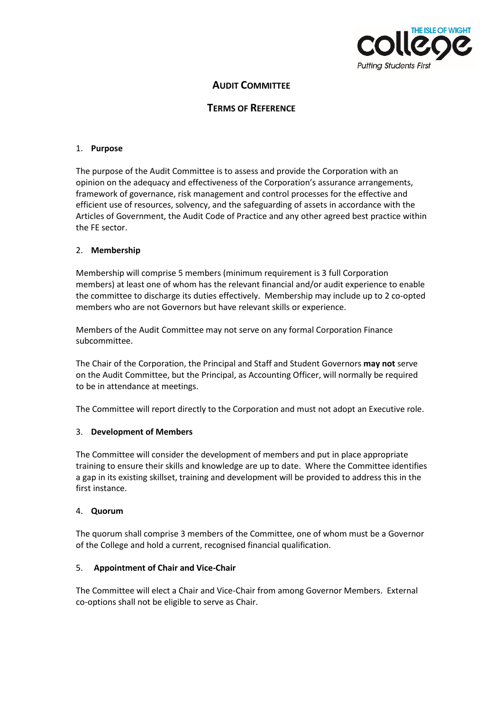

# **AUDIT COMMITTEE**

# **TERMS OF REFERENCE**

#### 1. **Purpose**

The purpose of the Audit Committee is to assess and provide the Corporation with an opinion on the adequacy and effectiveness of the Corporation's assurance arrangements, framework of governance, risk management and control processes for the effective and efficient use of resources, solvency, and the safeguarding of assets in accordance with the Articles of Government, the Audit Code of Practice and any other agreed best practice within the FE sector.

#### 2. **Membership**

Membership will comprise 5 members (minimum requirement is 3 full Corporation members) at least one of whom has the relevant financial and/or audit experience to enable the committee to discharge its duties effectively. Membership may include up to 2 co-opted members who are not Governors but have relevant skills or experience.

Members of the Audit Committee may not serve on any formal Corporation Finance subcommittee.

The Chair of the Corporation, the Principal and Staff and Student Governors **may not** serve on the Audit Committee, but the Principal, as Accounting Officer, will normally be required to be in attendance at meetings.

The Committee will report directly to the Corporation and must not adopt an Executive role.

#### 3. **Development of Members**

The Committee will consider the development of members and put in place appropriate training to ensure their skills and knowledge are up to date. Where the Committee identifies a gap in its existing skillset, training and development will be provided to address this in the first instance.

#### 4. **Quorum**

The quorum shall comprise 3 members of the Committee, one of whom must be a Governor of the College and hold a current, recognised financial qualification.

#### 5. **Appointment of Chair and Vice-Chair**

The Committee will elect a Chair and Vice-Chair from among Governor Members. External co-options shall not be eligible to serve as Chair.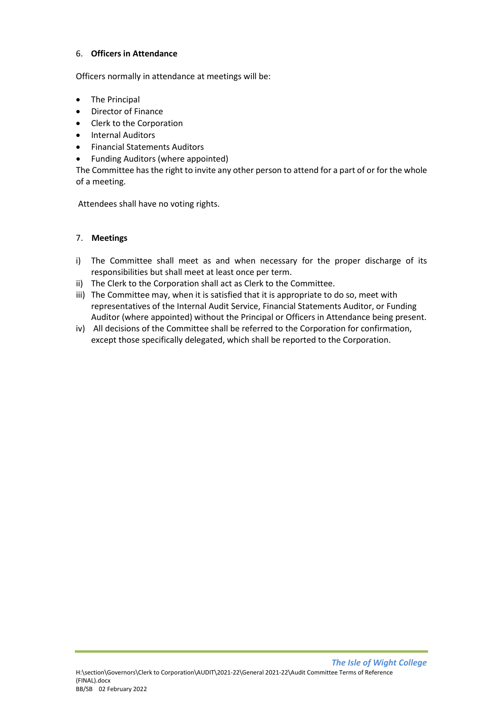## 6. **Officers in Attendance**

Officers normally in attendance at meetings will be:

- The Principal
- Director of Finance
- Clerk to the Corporation
- Internal Auditors
- Financial Statements Auditors
- Funding Auditors (where appointed)

The Committee has the right to invite any other person to attend for a part of or for the whole of a meeting.

Attendees shall have no voting rights.

# 7. **Meetings**

- i) The Committee shall meet as and when necessary for the proper discharge of its responsibilities but shall meet at least once per term.
- ii) The Clerk to the Corporation shall act as Clerk to the Committee.
- iii) The Committee may, when it is satisfied that it is appropriate to do so, meet with representatives of the Internal Audit Service, Financial Statements Auditor, or Funding Auditor (where appointed) without the Principal or Officers in Attendance being present.
- iv) All decisions of the Committee shall be referred to the Corporation for confirmation, except those specifically delegated, which shall be reported to the Corporation.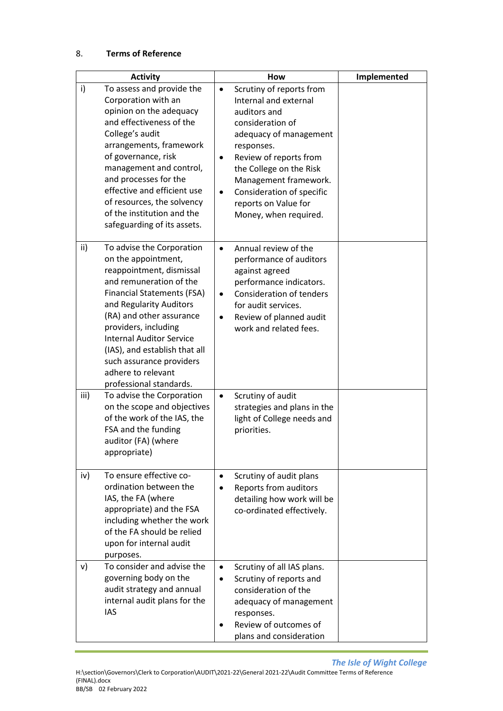| <b>Activity</b>                                                                                                                                                                                                                                                                                                                                                                     | How                                                                                                                                                                                                                                                                                                                              | Implemented |
|-------------------------------------------------------------------------------------------------------------------------------------------------------------------------------------------------------------------------------------------------------------------------------------------------------------------------------------------------------------------------------------|----------------------------------------------------------------------------------------------------------------------------------------------------------------------------------------------------------------------------------------------------------------------------------------------------------------------------------|-------------|
| i)<br>To assess and provide the<br>Corporation with an<br>opinion on the adequacy<br>and effectiveness of the<br>College's audit<br>arrangements, framework<br>of governance, risk<br>management and control,<br>and processes for the<br>effective and efficient use<br>of resources, the solvency<br>of the institution and the<br>safeguarding of its assets.                    | Scrutiny of reports from<br>$\bullet$<br>Internal and external<br>auditors and<br>consideration of<br>adequacy of management<br>responses.<br>Review of reports from<br>$\bullet$<br>the College on the Risk<br>Management framework.<br>Consideration of specific<br>$\bullet$<br>reports on Value for<br>Money, when required. |             |
| ii)<br>To advise the Corporation<br>on the appointment,<br>reappointment, dismissal<br>and remuneration of the<br><b>Financial Statements (FSA)</b><br>and Regularity Auditors<br>(RA) and other assurance<br>providers, including<br><b>Internal Auditor Service</b><br>(IAS), and establish that all<br>such assurance providers<br>adhere to relevant<br>professional standards. | Annual review of the<br>$\bullet$<br>performance of auditors<br>against agreed<br>performance indicators.<br><b>Consideration of tenders</b><br>$\bullet$<br>for audit services.<br>Review of planned audit<br>$\bullet$<br>work and related fees.                                                                               |             |
| To advise the Corporation<br>iii)<br>on the scope and objectives<br>of the work of the IAS, the<br>FSA and the funding<br>auditor (FA) (where<br>appropriate)                                                                                                                                                                                                                       | Scrutiny of audit<br>$\bullet$<br>strategies and plans in the<br>light of College needs and<br>priorities.                                                                                                                                                                                                                       |             |
| To ensure effective co-<br>iv)<br>ordination between the<br>IAS, the FA (where<br>appropriate) and the FSA<br>including whether the work<br>of the FA should be relied<br>upon for internal audit<br>purposes.                                                                                                                                                                      | Scrutiny of audit plans<br>$\bullet$<br><b>Reports from auditors</b><br>detailing how work will be<br>co-ordinated effectively.                                                                                                                                                                                                  |             |
| To consider and advise the<br>v)<br>governing body on the<br>audit strategy and annual<br>internal audit plans for the<br><b>IAS</b>                                                                                                                                                                                                                                                | Scrutiny of all IAS plans.<br>$\bullet$<br>Scrutiny of reports and<br>$\bullet$<br>consideration of the<br>adequacy of management<br>responses.<br>Review of outcomes of<br>plans and consideration                                                                                                                              |             |

 *The Isle of Wight College*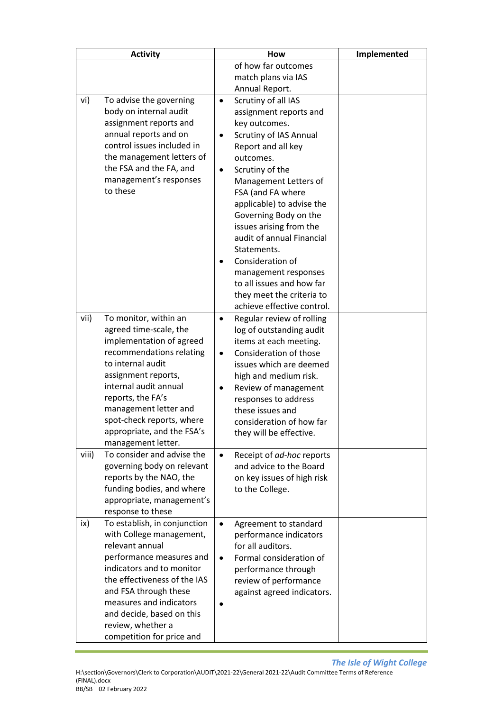| <b>Activity</b> |                                                      |           | How                                                | Implemented |
|-----------------|------------------------------------------------------|-----------|----------------------------------------------------|-------------|
|                 |                                                      |           | of how far outcomes                                |             |
|                 |                                                      |           | match plans via IAS                                |             |
|                 |                                                      |           | Annual Report.                                     |             |
| vi)             | To advise the governing                              | $\bullet$ | Scrutiny of all IAS                                |             |
|                 | body on internal audit                               |           | assignment reports and                             |             |
|                 | assignment reports and<br>annual reports and on      |           | key outcomes.                                      |             |
|                 | control issues included in                           | $\bullet$ | Scrutiny of IAS Annual<br>Report and all key       |             |
|                 | the management letters of                            |           | outcomes.                                          |             |
|                 | the FSA and the FA, and                              | $\bullet$ | Scrutiny of the                                    |             |
|                 | management's responses                               |           | Management Letters of                              |             |
|                 | to these                                             |           | FSA (and FA where                                  |             |
|                 |                                                      |           | applicable) to advise the                          |             |
|                 |                                                      |           | Governing Body on the                              |             |
|                 |                                                      |           | issues arising from the                            |             |
|                 |                                                      |           | audit of annual Financial                          |             |
|                 |                                                      |           | Statements.                                        |             |
|                 |                                                      |           | Consideration of                                   |             |
|                 |                                                      |           | management responses                               |             |
|                 |                                                      |           | to all issues and how far                          |             |
|                 |                                                      |           | they meet the criteria to                          |             |
|                 |                                                      |           | achieve effective control.                         |             |
| vii)            | To monitor, within an                                | $\bullet$ | Regular review of rolling                          |             |
|                 | agreed time-scale, the<br>implementation of agreed   |           | log of outstanding audit<br>items at each meeting. |             |
|                 | recommendations relating                             | $\bullet$ | Consideration of those                             |             |
|                 | to internal audit                                    |           | issues which are deemed                            |             |
|                 | assignment reports,                                  |           | high and medium risk.                              |             |
|                 | internal audit annual                                | $\bullet$ | Review of management                               |             |
|                 | reports, the FA's                                    |           | responses to address                               |             |
|                 | management letter and                                |           | these issues and                                   |             |
|                 | spot-check reports, where                            |           | consideration of how far                           |             |
|                 | appropriate, and the FSA's                           |           | they will be effective.                            |             |
|                 | management letter.                                   |           |                                                    |             |
| viii)           | To consider and advise the                           | $\bullet$ | Receipt of ad-hoc reports                          |             |
|                 | governing body on relevant                           |           | and advice to the Board                            |             |
|                 | reports by the NAO, the<br>funding bodies, and where |           | on key issues of high risk<br>to the College.      |             |
|                 | appropriate, management's                            |           |                                                    |             |
|                 | response to these                                    |           |                                                    |             |
| ix)             | To establish, in conjunction                         | $\bullet$ | Agreement to standard                              |             |
|                 | with College management,                             |           | performance indicators                             |             |
|                 | relevant annual                                      |           | for all auditors.                                  |             |
|                 | performance measures and                             | $\bullet$ | Formal consideration of                            |             |
|                 | indicators and to monitor                            |           | performance through                                |             |
|                 | the effectiveness of the IAS                         |           | review of performance                              |             |
|                 | and FSA through these                                |           | against agreed indicators.                         |             |
|                 | measures and indicators                              |           |                                                    |             |
|                 | and decide, based on this                            |           |                                                    |             |
|                 | review, whether a                                    |           |                                                    |             |
|                 | competition for price and                            |           |                                                    |             |

 *The Isle of Wight College*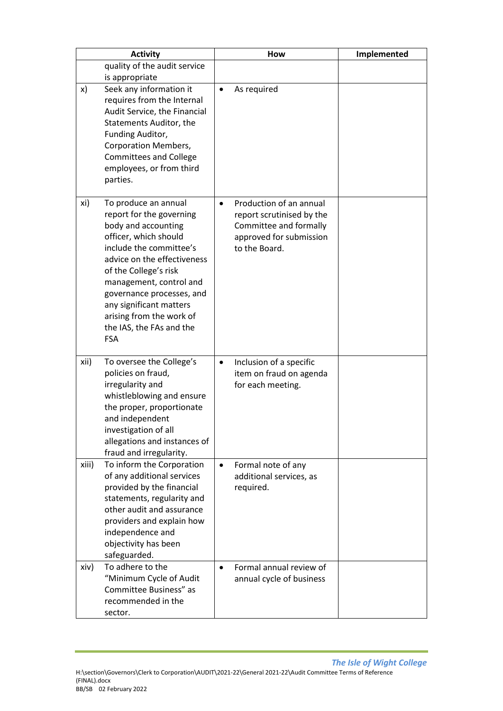|       | <b>Activity</b>                                                                                                                                                                                                                                                                                                                              |           | How                                                                                                                        | Implemented |
|-------|----------------------------------------------------------------------------------------------------------------------------------------------------------------------------------------------------------------------------------------------------------------------------------------------------------------------------------------------|-----------|----------------------------------------------------------------------------------------------------------------------------|-------------|
|       | quality of the audit service                                                                                                                                                                                                                                                                                                                 |           |                                                                                                                            |             |
|       | is appropriate                                                                                                                                                                                                                                                                                                                               |           |                                                                                                                            |             |
| x)    | Seek any information it<br>requires from the Internal<br>Audit Service, the Financial<br>Statements Auditor, the<br>Funding Auditor,<br>Corporation Members,<br><b>Committees and College</b><br>employees, or from third<br>parties.                                                                                                        | $\bullet$ | As required                                                                                                                |             |
| xi)   | To produce an annual<br>report for the governing<br>body and accounting<br>officer, which should<br>include the committee's<br>advice on the effectiveness<br>of the College's risk<br>management, control and<br>governance processes, and<br>any significant matters<br>arising from the work of<br>the IAS, the FAs and the<br><b>FSA</b> | $\bullet$ | Production of an annual<br>report scrutinised by the<br>Committee and formally<br>approved for submission<br>to the Board. |             |
| xii)  | To oversee the College's<br>policies on fraud,<br>irregularity and<br>whistleblowing and ensure<br>the proper, proportionate<br>and independent<br>investigation of all<br>allegations and instances of<br>fraud and irregularity.                                                                                                           | $\bullet$ | Inclusion of a specific<br>item on fraud on agenda<br>for each meeting.                                                    |             |
| xiii) | To inform the Corporation<br>of any additional services<br>provided by the financial<br>statements, regularity and<br>other audit and assurance<br>providers and explain how<br>independence and<br>objectivity has been<br>safeguarded.                                                                                                     | $\bullet$ | Formal note of any<br>additional services, as<br>required.                                                                 |             |
| xiv)  | To adhere to the<br>"Minimum Cycle of Audit<br>Committee Business" as<br>recommended in the<br>sector.                                                                                                                                                                                                                                       | $\bullet$ | Formal annual review of<br>annual cycle of business                                                                        |             |